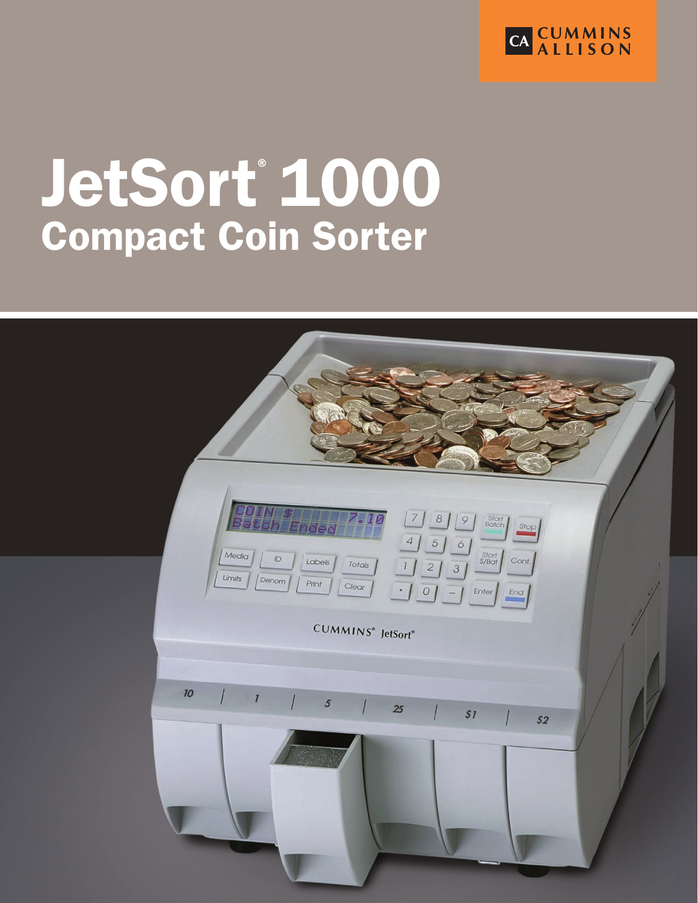

# JetSort® 1000 Compact Coin Sorter

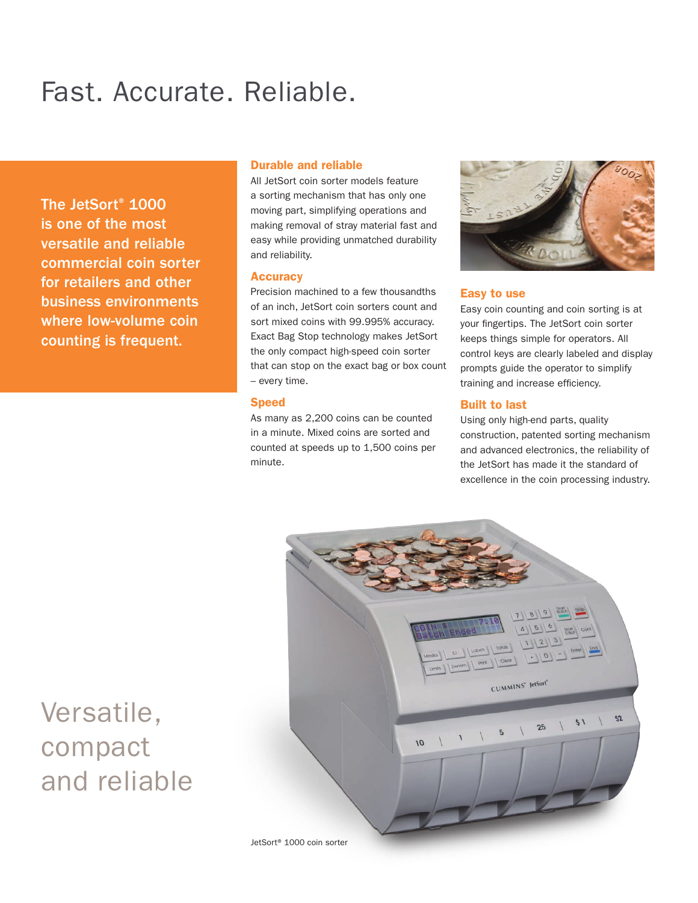## Fast. Accurate. Reliable.

The JetSort® 1000 is one of the most versatile and reliable commercial coin sorter for retailers and other business environments where low-volume coin counting is frequent.

### Durable and reliable

All JetSort coin sorter models feature a sorting mechanism that has only one moving part, simplifying operations and making removal of stray material fast and easy while providing unmatched durability and reliability.

### **Accuracy**

Precision machined to a few thousandths of an inch, JetSort coin sorters count and sort mixed coins with 99.995% accuracy. Exact Bag Stop technology makes JetSort the only compact high-speed coin sorter that can stop on the exact bag or box count – every time.

### Speed

As many as 2,200 coins can be counted in a minute. Mixed coins are sorted and counted at speeds up to 1,500 coins per minute.



### Easy to use

Easy coin counting and coin sorting is at your fingertips. The JetSort coin sorter keeps things simple for operators. All control keys are clearly labeled and display prompts guide the operator to simplify training and increase efficiency.

### Built to last

Using only high-end parts, quality construction, patented sorting mechanism and advanced electronics, the reliability of the JetSort has made it the standard of excellence in the coin processing industry.



## Versatile, compact and reliable

JetSort® 1000 coin sorter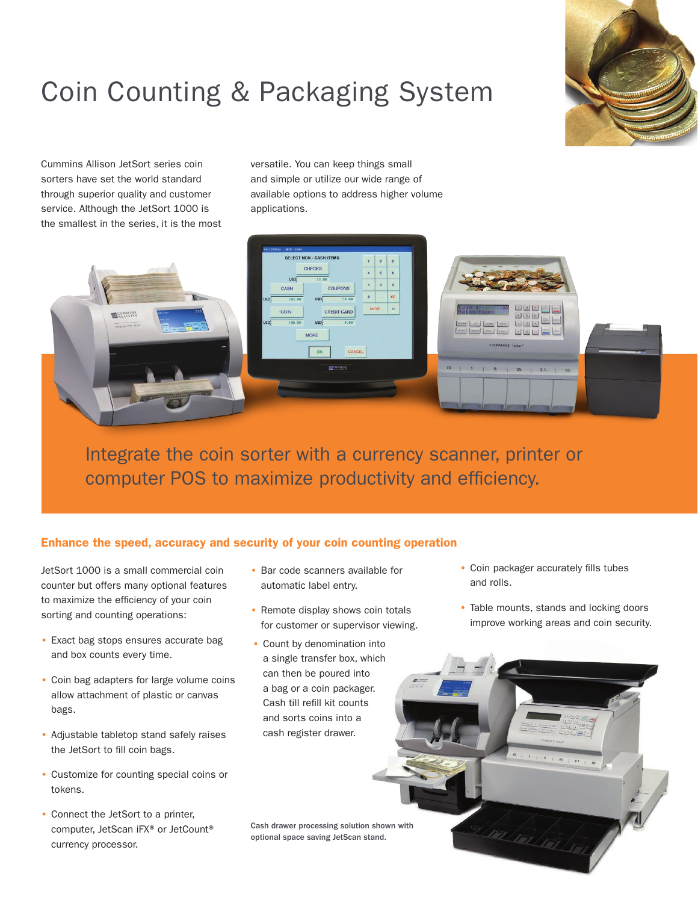## Coin Counting & Packaging System

Cummins Allison JetSort series coin sorters have set the world standard through superior quality and customer service. Although the JetSort 1000 is the smallest in the series, it is the most versatile. You can keep things small and simple or utilize our wide range of available options to address higher volume applications.

|                                                                                     | PROCESSING - NON - CASH                                                                                                                                                                                     |                                                                                                                                                                                                                           |
|-------------------------------------------------------------------------------------|-------------------------------------------------------------------------------------------------------------------------------------------------------------------------------------------------------------|---------------------------------------------------------------------------------------------------------------------------------------------------------------------------------------------------------------------------|
|                                                                                     | <b>SELECT NON - CASH ITEMS</b><br>$\overline{\mathbf{8}}$<br>$\mathbf{7}$<br>9<br>CHECKS<br>5<br>$\mathbf{6}$<br>$\blacktriangleleft$<br>USD<br>12.88<br>$\overline{2}$<br>3<br>п<br><b>COUPONS</b><br>CASH |                                                                                                                                                                                                                           |
| 318<br><b>ELECONNINS</b><br><b>ANTIQUES</b><br>HINGH WE INCH.<br>$\sqrt{1-x^2-x^2}$ | CE<br>$\bf{0}$<br><b>ALC</b><br>USD<br>58.88<br>195.98<br><b>USD</b><br>ENTER<br>$\rightarrow$<br>CREDIT CARD<br>COIN<br>6.88<br>100.00<br>USD<br>USD <sup></sup><br><b>MORE</b><br>CANCEL<br>OK            | $289$<br><b>DIALENTS</b><br><b>Batch Ended</b><br>450<br><b>Cont</b><br>1 2 3<br><b>ED. LODAN</b><br><b>Intentil</b><br>[see ] [see ] [see ] [see ] [see ] [see ] [see ] [see ] [see ]<br><b>CUMMINS' JetSurt'</b><br>--- |
| <b>STATISTICS IN THE</b>                                                            | ELECTRICIAL CONTROL                                                                                                                                                                                         | $10 \t   1 \t   5$<br>$125$ $51$ $50$                                                                                                                                                                                     |

Integrate the coin sorter with a currency scanner, printer or computer POS to maximize productivity and efficiency.

### Enhance the speed, accuracy and security of your coin counting operation

JetSort 1000 is a small commercial coin counter but offers many optional features to maximize the efficiency of your coin sorting and counting operations:

- Exact bag stops ensures accurate bag and box counts every time.
- Coin bag adapters for large volume coins allow attachment of plastic or canvas bags.
- Adjustable tabletop stand safely raises the JetSort to fill coin bags.
- Customize for counting special coins or tokens.
- Connect the JetSort to a printer, computer, JetScan iFX® or JetCount® currency processor.
- Bar code scanners available for automatic label entry.
- Remote display shows coin totals for customer or supervisor viewing.
- Count by denomination into a single transfer box, which can then be poured into a bag or a coin packager. Cash till refill kit counts and sorts coins into a cash register drawer.
- Cash drawer processing solution shown with optional space saving JetScan stand.

• Coin packager accurately fills tubes and rolls.

The Control

• Table mounts, stands and locking doors improve working areas and coin security.